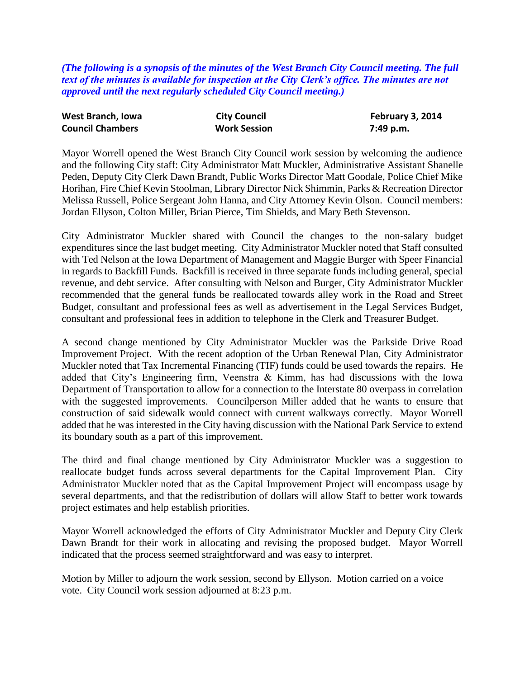*(The following is a synopsis of the minutes of the West Branch City Council meeting. The full text of the minutes is available for inspection at the City Clerk's office. The minutes are not approved until the next regularly scheduled City Council meeting.)*

| West Branch, Iowa       | <b>City Council</b> | February 3, 2014 |
|-------------------------|---------------------|------------------|
| <b>Council Chambers</b> | <b>Work Session</b> | 7:49 p.m.        |

Mayor Worrell opened the West Branch City Council work session by welcoming the audience and the following City staff: City Administrator Matt Muckler, Administrative Assistant Shanelle Peden, Deputy City Clerk Dawn Brandt, Public Works Director Matt Goodale, Police Chief Mike Horihan, Fire Chief Kevin Stoolman, Library Director Nick Shimmin, Parks & Recreation Director Melissa Russell, Police Sergeant John Hanna, and City Attorney Kevin Olson. Council members: Jordan Ellyson, Colton Miller, Brian Pierce, Tim Shields, and Mary Beth Stevenson.

City Administrator Muckler shared with Council the changes to the non-salary budget expenditures since the last budget meeting. City Administrator Muckler noted that Staff consulted with Ted Nelson at the Iowa Department of Management and Maggie Burger with Speer Financial in regards to Backfill Funds. Backfill is received in three separate funds including general, special revenue, and debt service. After consulting with Nelson and Burger, City Administrator Muckler recommended that the general funds be reallocated towards alley work in the Road and Street Budget, consultant and professional fees as well as advertisement in the Legal Services Budget, consultant and professional fees in addition to telephone in the Clerk and Treasurer Budget.

A second change mentioned by City Administrator Muckler was the Parkside Drive Road Improvement Project. With the recent adoption of the Urban Renewal Plan, City Administrator Muckler noted that Tax Incremental Financing (TIF) funds could be used towards the repairs. He added that City's Engineering firm, Veenstra & Kimm, has had discussions with the Iowa Department of Transportation to allow for a connection to the Interstate 80 overpass in correlation with the suggested improvements. Councilperson Miller added that he wants to ensure that construction of said sidewalk would connect with current walkways correctly. Mayor Worrell added that he was interested in the City having discussion with the National Park Service to extend its boundary south as a part of this improvement.

The third and final change mentioned by City Administrator Muckler was a suggestion to reallocate budget funds across several departments for the Capital Improvement Plan. City Administrator Muckler noted that as the Capital Improvement Project will encompass usage by several departments, and that the redistribution of dollars will allow Staff to better work towards project estimates and help establish priorities.

Mayor Worrell acknowledged the efforts of City Administrator Muckler and Deputy City Clerk Dawn Brandt for their work in allocating and revising the proposed budget. Mayor Worrell indicated that the process seemed straightforward and was easy to interpret.

Motion by Miller to adjourn the work session, second by Ellyson. Motion carried on a voice vote. City Council work session adjourned at 8:23 p.m.